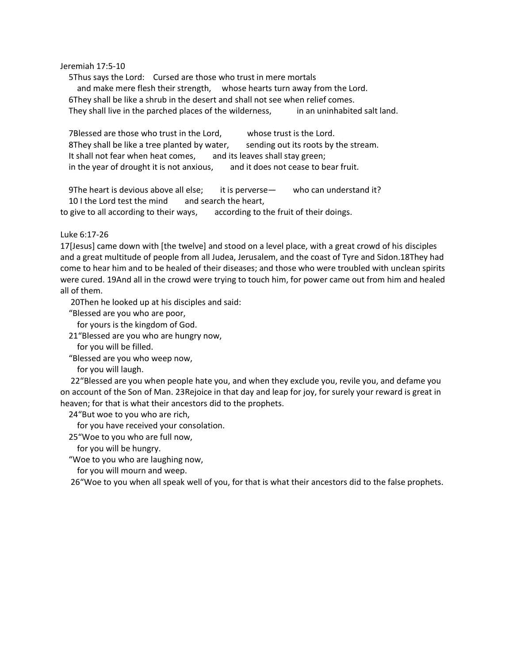## Jeremiah 17:5-10

5Thus says the Lord: Cursed are those who trust in mere mortals and make mere flesh their strength, whose hearts turn away from the Lord. 6They shall be like a shrub in the desert and shall not see when relief comes. They shall live in the parched places of the wilderness, in an uninhabited salt land.

7Blessed are those who trust in the Lord, whose trust is the Lord. 8They shall be like a tree planted by water, sending out its roots by the stream. It shall not fear when heat comes, and its leaves shall stay green; in the year of drought it is not anxious, and it does not cease to bear fruit.

9The heart is devious above all else; it is perverse— who can understand it? 10 I the Lord test the mind and search the heart,

to give to all according to their ways, according to the fruit of their doings.

## Luke 6:17-26

17[Jesus] came down with [the twelve] and stood on a level place, with a great crowd of his disciples and a great multitude of people from all Judea, Jerusalem, and the coast of Tyre and Sidon.18They had come to hear him and to be healed of their diseases; and those who were troubled with unclean spirits were cured. 19And all in the crowd were trying to touch him, for power came out from him and healed all of them.

20Then he looked up at his disciples and said:

"Blessed are you who are poor,

for yours is the kingdom of God.

21"Blessed are you who are hungry now,

for you will be filled.

"Blessed are you who weep now,

for you will laugh.

22"Blessed are you when people hate you, and when they exclude you, revile you, and defame you on account of the Son of Man. 23Rejoice in that day and leap for joy, for surely your reward is great in heaven; for that is what their ancestors did to the prophets.

24"But woe to you who are rich,

for you have received your consolation.

25"Woe to you who are full now,

for you will be hungry.

"Woe to you who are laughing now,

for you will mourn and weep.

26"Woe to you when all speak well of you, for that is what their ancestors did to the false prophets.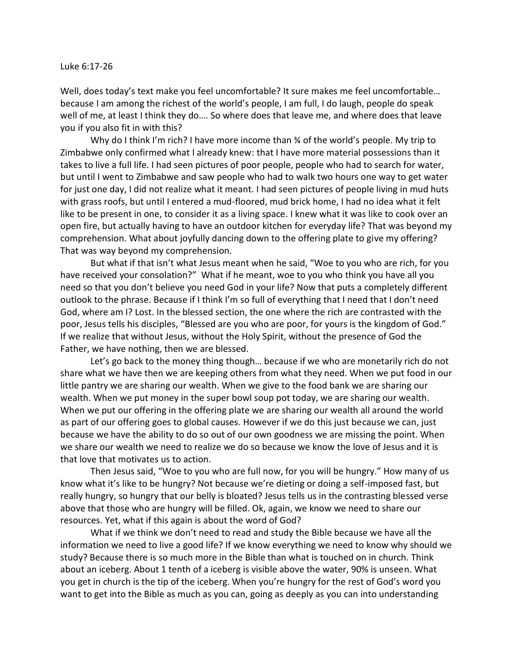## Luke 6:17-26

Well, does today's text make you feel uncomfortable? It sure makes me feel uncomfortable... because I am among the richest of the world's people, I am full, I do laugh, people do speak well of me, at least I think they do…. So where does that leave me, and where does that leave you if you also fit in with this?

Why do I think I'm rich? I have more income than ¾ of the world's people. My trip to Zimbabwe only confirmed what I already knew: that I have more material possessions than it takes to live a full life. I had seen pictures of poor people, people who had to search for water, but until I went to Zimbabwe and saw people who had to walk two hours one way to get water for just one day, I did not realize what it meant. I had seen pictures of people living in mud huts with grass roofs, but until I entered a mud-floored, mud brick home, I had no idea what it felt like to be present in one, to consider it as a living space. I knew what it was like to cook over an open fire, but actually having to have an outdoor kitchen for everyday life? That was beyond my comprehension. What about joyfully dancing down to the offering plate to give my offering? That was way beyond my comprehension.

But what if that isn't what Jesus meant when he said, "Woe to you who are rich, for you have received your consolation?" What if he meant, woe to you who think you have all you need so that you don't believe you need God in your life? Now that puts a completely different outlook to the phrase. Because if I think I'm so full of everything that I need that I don't need God, where am I? Lost. In the blessed section, the one where the rich are contrasted with the poor, Jesus tells his disciples, "Blessed are you who are poor, for yours is the kingdom of God." If we realize that without Jesus, without the Holy Spirit, without the presence of God the Father, we have nothing, then we are blessed.

Let's go back to the money thing though… because if we who are monetarily rich do not share what we have then we are keeping others from what they need. When we put food in our little pantry we are sharing our wealth. When we give to the food bank we are sharing our wealth. When we put money in the super bowl soup pot today, we are sharing our wealth. When we put our offering in the offering plate we are sharing our wealth all around the world as part of our offering goes to global causes. However if we do this just because we can, just because we have the ability to do so out of our own goodness we are missing the point. When we share our wealth we need to realize we do so because we know the love of Jesus and it is that love that motivates us to action.

Then Jesus said, "Woe to you who are full now, for you will be hungry." How many of us know what it's like to be hungry? Not because we're dieting or doing a self-imposed fast, but really hungry, so hungry that our belly is bloated? Jesus tells us in the contrasting blessed verse above that those who are hungry will be filled. Ok, again, we know we need to share our resources. Yet, what if this again is about the word of God?

What if we think we don't need to read and study the Bible because we have all the information we need to live a good life? If we know everything we need to know why should we study? Because there is so much more in the Bible than what is touched on in church. Think about an iceberg. About 1 tenth of a iceberg is visible above the water, 90% is unseen. What you get in church is the tip of the iceberg. When you're hungry for the rest of God's word you want to get into the Bible as much as you can, going as deeply as you can into understanding